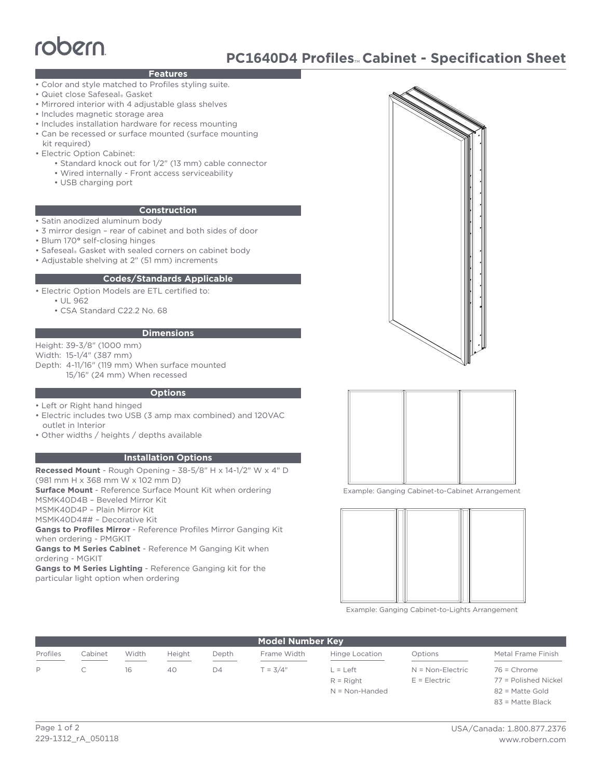# robern

# **PC1640D4 Profiles**™ **Cabinet - Specification Sheet**

# **Features**

- Color and style matched to Profiles styling suite.
- Quiet close Safeseal® Gasket
- Mirrored interior with 4 adjustable glass shelves
- Includes magnetic storage area
- Includes installation hardware for recess mounting
- Can be recessed or surface mounted (surface mounting kit required)
- Electric Option Cabinet:
	- Standard knock out for 1/2" (13 mm) cable connector
	- Wired internally Front access serviceability
	- USB charging port

#### **Construction**

- Satin anodized aluminum body
- 3 mirror design rear of cabinet and both sides of door
- Blum 170**°** self-closing hinges
- Safeseal® Gasket with sealed corners on cabinet body
- Adjustable shelving at 2" (51 mm) increments

#### **Codes/Standards Applicable**

• Electric Option Models are ETL certified to:

- UL 962
- CSA Standard C22.2 No. 68

#### **Dimensions**

Height: 39-3/8" (1000 mm)

Width: 15-1/4" (387 mm)

Depth: 4-11/16" (119 mm) When surface mounted 15/16" (24 mm) When recessed

#### **Options**

- Left or Right hand hinged
- Electric includes two USB (3 amp max combined) and 120VAC outlet in Interior
- Other widths / heights / depths available

# **Installation Options**

**Recessed Mount** - Rough Opening - 38-5/8" H x 14-1/2" W x 4" D (981 mm H x 368 mm W x 102 mm D) **Surface Mount** - Reference Surface Mount Kit when ordering MSMK40D4B – Beveled Mirror Kit MSMK40D4P – Plain Mirror Kit

MSMK40D4## – Decorative Kit

**Gangs to Profiles Mirror** - Reference Profiles Mirror Ganging Kit when ordering - PMGKIT

**Gangs to M Series Cabinet** - Reference M Ganging Kit when ordering - MGKIT

**Gangs to M Series Lighting** - Reference Ganging kit for the particular light option when ordering





Example: Ganging Cabinet-to-Cabinet Arrangement



Example: Ganging Cabinet-to-Lights Arrangement

| <b>Model Number Key</b>                                                                                                                                                                                                                                                                                                                                                                                                                                                                |         |       |        |       |             |                       |                    |                      |
|----------------------------------------------------------------------------------------------------------------------------------------------------------------------------------------------------------------------------------------------------------------------------------------------------------------------------------------------------------------------------------------------------------------------------------------------------------------------------------------|---------|-------|--------|-------|-------------|-----------------------|--------------------|----------------------|
| Profiles<br>$\frac{1}{2} \left( \frac{1}{2} \right) \left( \frac{1}{2} \right) \left( \frac{1}{2} \right) \left( \frac{1}{2} \right) \left( \frac{1}{2} \right) \left( \frac{1}{2} \right) \left( \frac{1}{2} \right) \left( \frac{1}{2} \right) \left( \frac{1}{2} \right) \left( \frac{1}{2} \right) \left( \frac{1}{2} \right) \left( \frac{1}{2} \right) \left( \frac{1}{2} \right) \left( \frac{1}{2} \right) \left( \frac{1}{2} \right) \left( \frac{1}{2} \right) \left( \frac$ | Cabinet | Width | Height | Depth | Frame Width | Hinge Location        | Options            | Metal Frame Finish   |
|                                                                                                                                                                                                                                                                                                                                                                                                                                                                                        |         | 16    | 40     | D4    | $T = 3/4"$  | $\vert$ = $\vert$ eft | $N = Non-Electric$ | $76$ = Chrome        |
|                                                                                                                                                                                                                                                                                                                                                                                                                                                                                        |         |       |        |       |             | $R =$ Right           | $E = E$ lectric    | 77 = Polished Nickel |

N = Non-Handed

82 = Matte Gold 83 = Matte Black

Page 1 of 2 229-1312\_rA\_050118

# USA/Canada: 1.800.877.2376 www.robern.com